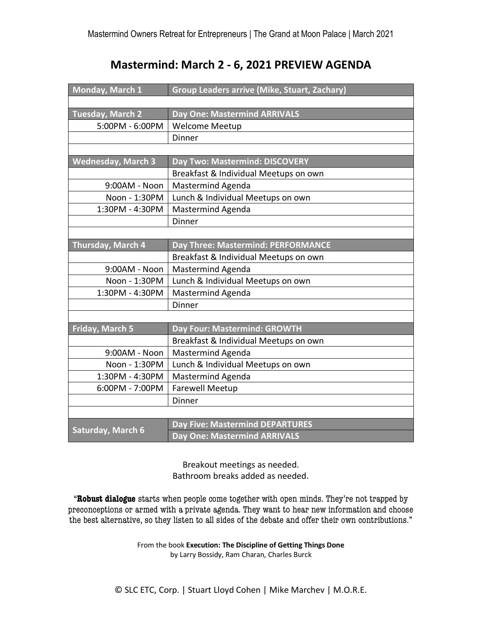## **Mastermind: March 2 - 6, 2021 PREVIEW AGENDA**

| Monday, March 1           | <b>Group Leaders arrive (Mike, Stuart, Zachary)</b> |
|---------------------------|-----------------------------------------------------|
|                           |                                                     |
| <b>Tuesday, March 2</b>   | <b>Day One: Mastermind ARRIVALS</b>                 |
| 5:00PM - 6:00PM           | <b>Welcome Meetup</b>                               |
|                           | Dinner                                              |
|                           |                                                     |
| <b>Wednesday, March 3</b> | Day Two: Mastermind: DISCOVERY                      |
|                           | Breakfast & Individual Meetups on own               |
| 9:00AM - Noon             | <b>Mastermind Agenda</b>                            |
| Noon - 1:30PM             | Lunch & Individual Meetups on own                   |
| 1:30PM - 4:30PM           | Mastermind Agenda                                   |
|                           | Dinner                                              |
|                           |                                                     |
| Thursday, March 4         | Day Three: Mastermind: PERFORMANCE                  |
|                           | Breakfast & Individual Meetups on own               |
| 9:00AM - Noon             | Mastermind Agenda                                   |
| Noon - 1:30PM             | Lunch & Individual Meetups on own                   |
| 1:30PM - 4:30PM           | <b>Mastermind Agenda</b>                            |
|                           | Dinner                                              |
|                           |                                                     |
| Friday, March 5           | Day Four: Mastermind: GROWTH                        |
|                           | Breakfast & Individual Meetups on own               |
| 9:00AM - Noon             | <b>Mastermind Agenda</b>                            |
| Noon - 1:30PM             | Lunch & Individual Meetups on own                   |
| 1:30PM - 4:30PM           | <b>Mastermind Agenda</b>                            |
| 6:00PM - 7:00PM           | <b>Farewell Meetup</b>                              |
|                           | Dinner                                              |
|                           |                                                     |
| <b>Saturday, March 6</b>  | <b>Day Five: Mastermind DEPARTURES</b>              |
|                           | <b>Day One: Mastermind ARRIVALS</b>                 |

Breakout meetings as needed. Bathroom breaks added as needed.

"**Robust dialogue** starts when people come together with open minds. They're not trapped by preconceptions or armed with a private agenda. They want to hear new information and choose the best alternative, so they listen to all sides of the debate and offer their own contributions."

> From the book **Execution: The Discipline of Getting Things Done** by Larry Bossidy, Ram Charan, Charles Burck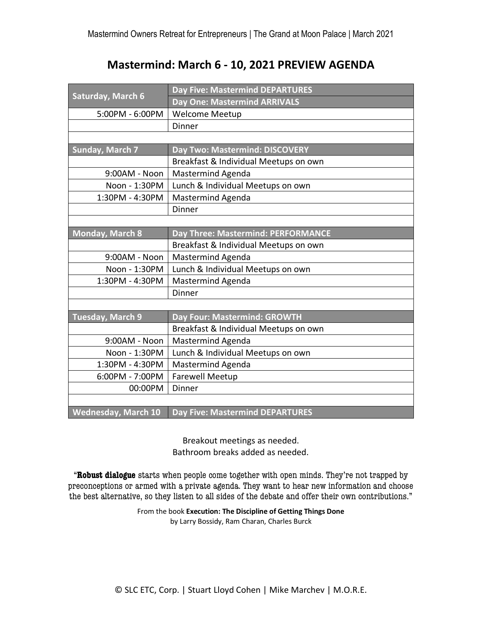# **Mastermind: March 6 - 10, 2021 PREVIEW AGENDA**

| Saturday, March 6          | <b>Day Five: Mastermind DEPARTURES</b> |
|----------------------------|----------------------------------------|
|                            | <b>Day One: Mastermind ARRIVALS</b>    |
| 5:00PM - 6:00PM            | Welcome Meetup                         |
|                            | Dinner                                 |
|                            |                                        |
| <b>Sunday, March 7</b>     | Day Two: Mastermind: DISCOVERY         |
|                            | Breakfast & Individual Meetups on own  |
| 9:00AM - Noon              | Mastermind Agenda                      |
| Noon - 1:30PM              | Lunch & Individual Meetups on own      |
| 1:30PM - 4:30PM            | Mastermind Agenda                      |
|                            | Dinner                                 |
|                            |                                        |
| <b>Monday, March 8</b>     | Day Three: Mastermind: PERFORMANCE     |
|                            | Breakfast & Individual Meetups on own  |
| 9:00AM - Noon              | Mastermind Agenda                      |
| Noon - 1:30PM              | Lunch & Individual Meetups on own      |
| 1:30PM - 4:30PM            | Mastermind Agenda                      |
|                            | Dinner                                 |
|                            |                                        |
| <b>Tuesday, March 9</b>    | Day Four: Mastermind: GROWTH           |
|                            | Breakfast & Individual Meetups on own  |
| 9:00AM - Noon              | Mastermind Agenda                      |
| Noon - 1:30PM              | Lunch & Individual Meetups on own      |
| 1:30PM - 4:30PM            | <b>Mastermind Agenda</b>               |
| 6:00PM - 7:00PM            | <b>Farewell Meetup</b>                 |
| 00:00PM                    | Dinner                                 |
|                            |                                        |
| <b>Wednesday, March 10</b> | <b>Day Five: Mastermind DEPARTURES</b> |

Breakout meetings as needed. Bathroom breaks added as needed.

"**Robust dialogue** starts when people come together with open minds. They're not trapped by preconceptions or armed with a private agenda. They want to hear new information and choose the best alternative, so they listen to all sides of the debate and offer their own contributions."

> From the book **Execution: The Discipline of Getting Things Done** by Larry Bossidy, Ram Charan, Charles Burck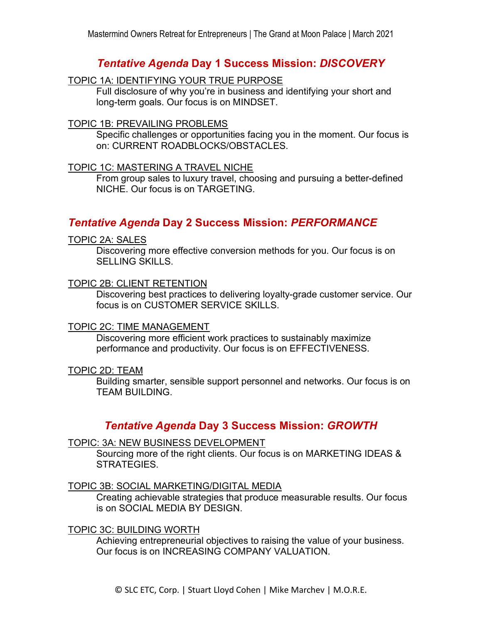## *Tentative Agenda* **Day 1 Success Mission:** *DISCOVERY*

#### TOPIC 1A: IDENTIFYING YOUR TRUE PURPOSE

Full disclosure of why you're in business and identifying your short and long-term goals. Our focus is on MINDSET.

#### TOPIC 1B: PREVAILING PROBLEMS

Specific challenges or opportunities facing you in the moment. Our focus is on: CURRENT ROADBLOCKS/OBSTACLES.

#### TOPIC 1C: MASTERING A TRAVEL NICHE

From group sales to luxury travel, choosing and pursuing a better-defined NICHE. Our focus is on TARGETING.

## *Tentative Agenda* **Day 2 Success Mission:** *PERFORMANCE*

#### TOPIC 2A: SALES

Discovering more effective conversion methods for you. Our focus is on SELLING SKILLS.

#### TOPIC 2B: CLIENT RETENTION

Discovering best practices to delivering loyalty-grade customer service. Our focus is on CUSTOMER SERVICE SKILLS.

#### TOPIC 2C: TIME MANAGEMENT

Discovering more efficient work practices to sustainably maximize performance and productivity. Our focus is on EFFECTIVENESS.

#### TOPIC 2D: TEAM

Building smarter, sensible support personnel and networks. Our focus is on TEAM BUILDING.

## *Tentative Agenda* **Day 3 Success Mission:** *GROWTH*

#### TOPIC: 3A: NEW BUSINESS DEVELOPMENT

Sourcing more of the right clients. Our focus is on MARKETING IDEAS & STRATEGIES.

#### TOPIC 3B: SOCIAL MARKETING/DIGITAL MEDIA

Creating achievable strategies that produce measurable results. Our focus is on SOCIAL MEDIA BY DESIGN.

#### TOPIC 3C: BUILDING WORTH

Achieving entrepreneurial objectives to raising the value of your business. Our focus is on INCREASING COMPANY VALUATION.